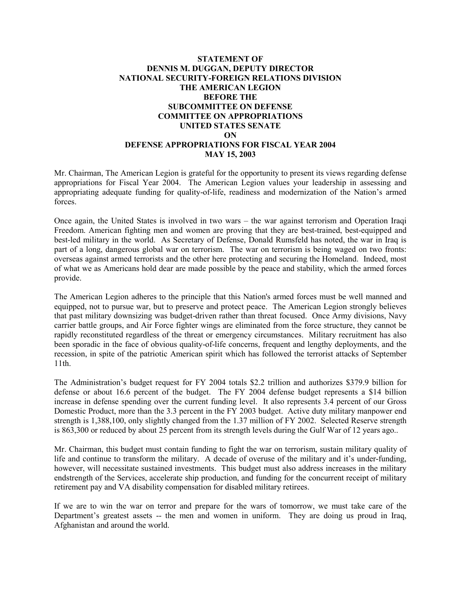### **STATEMENT OF DENNIS M. DUGGAN, DEPUTY DIRECTOR NATIONAL SECURITY-FOREIGN RELATIONS DIVISION THE AMERICAN LEGION BEFORE THE SUBCOMMITTEE ON DEFENSE COMMITTEE ON APPROPRIATIONS UNITED STATES SENATE ON DEFENSE APPROPRIATIONS FOR FISCAL YEAR 2004 MAY 15, 2003**

Mr. Chairman, The American Legion is grateful for the opportunity to present its views regarding defense appropriations for Fiscal Year 2004. The American Legion values your leadership in assessing and appropriating adequate funding for quality-of-life, readiness and modernization of the Nation's armed forces.

Once again, the United States is involved in two wars – the war against terrorism and Operation Iraqi Freedom. American fighting men and women are proving that they are best-trained, best-equipped and best-led military in the world. As Secretary of Defense, Donald Rumsfeld has noted, the war in Iraq is part of a long, dangerous global war on terrorism. The war on terrorism is being waged on two fronts: overseas against armed terrorists and the other here protecting and securing the Homeland. Indeed, most of what we as Americans hold dear are made possible by the peace and stability, which the armed forces provide.

The American Legion adheres to the principle that this Nation's armed forces must be well manned and equipped, not to pursue war, but to preserve and protect peace. The American Legion strongly believes that past military downsizing was budget-driven rather than threat focused. Once Army divisions, Navy carrier battle groups, and Air Force fighter wings are eliminated from the force structure, they cannot be rapidly reconstituted regardless of the threat or emergency circumstances. Military recruitment has also been sporadic in the face of obvious quality-of-life concerns, frequent and lengthy deployments, and the recession, in spite of the patriotic American spirit which has followed the terrorist attacks of September 11th.

The Administration's budget request for FY 2004 totals \$2.2 trillion and authorizes \$379.9 billion for defense or about 16.6 percent of the budget. The FY 2004 defense budget represents a \$14 billion increase in defense spending over the current funding level. It also represents 3.4 percent of our Gross Domestic Product, more than the 3.3 percent in the FY 2003 budget. Active duty military manpower end strength is 1,388,100, only slightly changed from the 1.37 million of FY 2002. Selected Reserve strength is 863,300 or reduced by about 25 percent from its strength levels during the Gulf War of 12 years ago..

Mr. Chairman, this budget must contain funding to fight the war on terrorism, sustain military quality of life and continue to transform the military. A decade of overuse of the military and it's under-funding, however, will necessitate sustained investments. This budget must also address increases in the military endstrength of the Services, accelerate ship production, and funding for the concurrent receipt of military retirement pay and VA disability compensation for disabled military retirees.

If we are to win the war on terror and prepare for the wars of tomorrow, we must take care of the Department's greatest assets -- the men and women in uniform. They are doing us proud in Iraq, Afghanistan and around the world.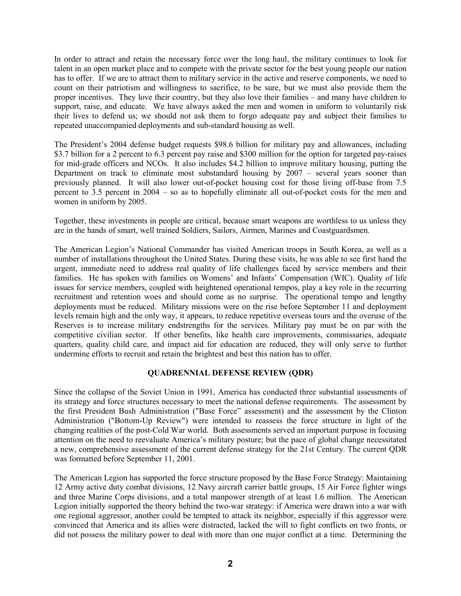In order to attract and retain the necessary force over the long haul, the military continues to look for talent in an open market place and to compete with the private sector for the best young people our nation has to offer. If we are to attract them to military service in the active and reserve components, we need to count on their patriotism and willingness to sacrifice, to be sure, but we must also provide them the proper incentives. They love their country, but they also love their families – and many have children to support, raise, and educate. We have always asked the men and women in uniform to voluntarily risk their lives to defend us; we should not ask them to forgo adequate pay and subject their families to repeated unaccompanied deployments and sub-standard housing as well.

The President's 2004 defense budget requests \$98.6 billion for military pay and allowances, including \$3.7 billion for a 2 percent to 6.3 percent pay raise and \$300 million for the option for targeted pay-raises for mid-grade officers and NCOs. It also includes \$4.2 billion to improve military housing, putting the Department on track to eliminate most substandard housing by 2007 – several years sooner than previously planned. It will also lower out-of-pocket housing cost for those living off-base from 7.5 percent to 3.5 percent in 2004 – so as to hopefully eliminate all out-of-pocket costs for the men and women in uniform by 2005.

Together, these investments in people are critical, because smart weapons are worthless to us unless they are in the hands of smart, well trained Soldiers, Sailors, Airmen, Marines and Coastguardsmen.

The American Legion's National Commander has visited American troops in South Korea, as well as a number of installations throughout the United States. During these visits, he was able to see first hand the urgent, immediate need to address real quality of life challenges faced by service members and their families. He has spoken with families on Womens' and Infants' Compensation (WIC). Quality of life issues for service members, coupled with heightened operational tempos, play a key role in the recurring recruitment and retention woes and should come as no surprise. The operational tempo and lengthy deployments must be reduced. Military missions were on the rise before September 11 and deployment levels remain high and the only way, it appears, to reduce repetitive overseas tours and the overuse of the Reserves is to increase military endstrengths for the services. Military pay must be on par with the competitive civilian sector. If other benefits, like health care improvements, commissaries, adequate quarters, quality child care, and impact aid for education are reduced, they will only serve to further undermine efforts to recruit and retain the brightest and best this nation has to offer.

#### **QUADRENNIAL DEFENSE REVIEW (QDR)**

Since the collapse of the Soviet Union in 1991, America has conducted three substantial assessments of its strategy and force structures necessary to meet the national defense requirements. The assessment by the first President Bush Administration ("Base Force" assessment) and the assessment by the Clinton Administration ("Bottom-Up Review") were intended to reassess the force structure in light of the changing realities of the post-Cold War world. Both assessments served an important purpose in focusing attention on the need to reevaluate America's military posture; but the pace of global change necessitated a new, comprehensive assessment of the current defense strategy for the 21st Century. The current QDR was formatted before September 11, 2001.

The American Legion has supported the force structure proposed by the Base Force Strategy: Maintaining 12 Army active duty combat divisions, 12 Navy aircraft carrier battle groups, 15 Air Force fighter wings and three Marine Corps divisions, and a total manpower strength of at least 1.6 million. The American Legion initially supported the theory behind the two-war strategy: if America were drawn into a war with one regional aggressor, another could be tempted to attack its neighbor, especially if this aggressor were convinced that America and its allies were distracted, lacked the will to fight conflicts on two fronts, or did not possess the military power to deal with more than one major conflict at a time. Determining the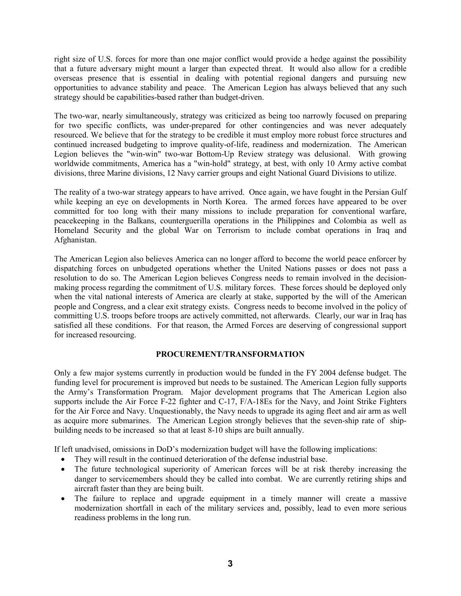right size of U.S. forces for more than one major conflict would provide a hedge against the possibility that a future adversary might mount a larger than expected threat. It would also allow for a credible overseas presence that is essential in dealing with potential regional dangers and pursuing new opportunities to advance stability and peace. The American Legion has always believed that any such strategy should be capabilities-based rather than budget-driven.

The two-war, nearly simultaneously, strategy was criticized as being too narrowly focused on preparing for two specific conflicts, was under-prepared for other contingencies and was never adequately resourced. We believe that for the strategy to be credible it must employ more robust force structures and continued increased budgeting to improve quality-of-life, readiness and modernization. The American Legion believes the "win-win" two-war Bottom-Up Review strategy was delusional. With growing worldwide commitments, America has a "win-hold" strategy, at best, with only 10 Army active combat divisions, three Marine divisions, 12 Navy carrier groups and eight National Guard Divisions to utilize.

The reality of a two-war strategy appears to have arrived. Once again, we have fought in the Persian Gulf while keeping an eye on developments in North Korea. The armed forces have appeared to be over committed for too long with their many missions to include preparation for conventional warfare, peacekeeping in the Balkans, counterguerilla operations in the Philippines and Colombia as well as Homeland Security and the global War on Terrorism to include combat operations in Iraq and Afghanistan.

The American Legion also believes America can no longer afford to become the world peace enforcer by dispatching forces on unbudgeted operations whether the United Nations passes or does not pass a resolution to do so. The American Legion believes Congress needs to remain involved in the decisionmaking process regarding the commitment of U.S. military forces. These forces should be deployed only when the vital national interests of America are clearly at stake, supported by the will of the American people and Congress, and a clear exit strategy exists. Congress needs to become involved in the policy of committing U.S. troops before troops are actively committed, not afterwards. Clearly, our war in Iraq has satisfied all these conditions. For that reason, the Armed Forces are deserving of congressional support for increased resourcing.

# **PROCUREMENT/TRANSFORMATION**

Only a few major systems currently in production would be funded in the FY 2004 defense budget. The funding level for procurement is improved but needs to be sustained. The American Legion fully supports the Army's Transformation Program. Major development programs that The American Legion also supports include the Air Force F-22 fighter and C-17, F/A-18Es for the Navy, and Joint Strike Fighters for the Air Force and Navy. Unquestionably, the Navy needs to upgrade its aging fleet and air arm as well as acquire more submarines. The American Legion strongly believes that the seven-ship rate of shipbuilding needs to be increased so that at least 8-10 ships are built annually.

If left unadvised, omissions in DoD's modernization budget will have the following implications:

- They will result in the continued deterioration of the defense industrial base.
- The future technological superiority of American forces will be at risk thereby increasing the danger to servicemembers should they be called into combat. We are currently retiring ships and aircraft faster than they are being built.
- The failure to replace and upgrade equipment in a timely manner will create a massive modernization shortfall in each of the military services and, possibly, lead to even more serious readiness problems in the long run.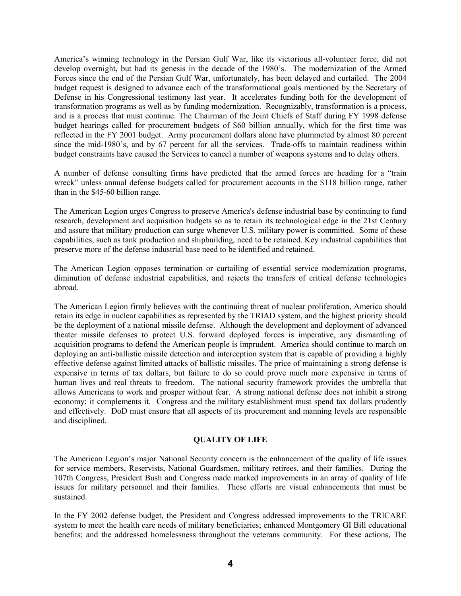America's winning technology in the Persian Gulf War, like its victorious all-volunteer force, did not develop overnight, but had its genesis in the decade of the 1980's. The modernization of the Armed Forces since the end of the Persian Gulf War, unfortunately, has been delayed and curtailed. The 2004 budget request is designed to advance each of the transformational goals mentioned by the Secretary of Defense in his Congressional testimony last year. It accelerates funding both for the development of transformation programs as well as by funding modernization. Recognizably, transformation is a process, and is a process that must continue. The Chairman of the Joint Chiefs of Staff during FY 1998 defense budget hearings called for procurement budgets of \$60 billion annually, which for the first time was reflected in the FY 2001 budget. Army procurement dollars alone have plummeted by almost 80 percent since the mid-1980's, and by 67 percent for all the services. Trade-offs to maintain readiness within budget constraints have caused the Services to cancel a number of weapons systems and to delay others.

A number of defense consulting firms have predicted that the armed forces are heading for a "train wreck" unless annual defense budgets called for procurement accounts in the \$118 billion range, rather than in the \$45-60 billion range.

The American Legion urges Congress to preserve America's defense industrial base by continuing to fund research, development and acquisition budgets so as to retain its technological edge in the 21st Century and assure that military production can surge whenever U.S. military power is committed. Some of these capabilities, such as tank production and shipbuilding, need to be retained. Key industrial capabilities that preserve more of the defense industrial base need to be identified and retained.

The American Legion opposes termination or curtailing of essential service modernization programs, diminution of defense industrial capabilities, and rejects the transfers of critical defense technologies abroad.

The American Legion firmly believes with the continuing threat of nuclear proliferation, America should retain its edge in nuclear capabilities as represented by the TRIAD system, and the highest priority should be the deployment of a national missile defense. Although the development and deployment of advanced theater missile defenses to protect U.S. forward deployed forces is imperative, any dismantling of acquisition programs to defend the American people is imprudent. America should continue to march on deploying an anti-ballistic missile detection and interception system that is capable of providing a highly effective defense against limited attacks of ballistic missiles. The price of maintaining a strong defense is expensive in terms of tax dollars, but failure to do so could prove much more expensive in terms of human lives and real threats to freedom. The national security framework provides the umbrella that allows Americans to work and prosper without fear. A strong national defense does not inhibit a strong economy; it complements it. Congress and the military establishment must spend tax dollars prudently and effectively. DoD must ensure that all aspects of its procurement and manning levels are responsible and disciplined.

#### **QUALITY OF LIFE**

The American Legion's major National Security concern is the enhancement of the quality of life issues for service members, Reservists, National Guardsmen, military retirees, and their families. During the 107th Congress, President Bush and Congress made marked improvements in an array of quality of life issues for military personnel and their families. These efforts are visual enhancements that must be sustained.

In the FY 2002 defense budget, the President and Congress addressed improvements to the TRICARE system to meet the health care needs of military beneficiaries; enhanced Montgomery GI Bill educational benefits; and the addressed homelessness throughout the veterans community. For these actions, The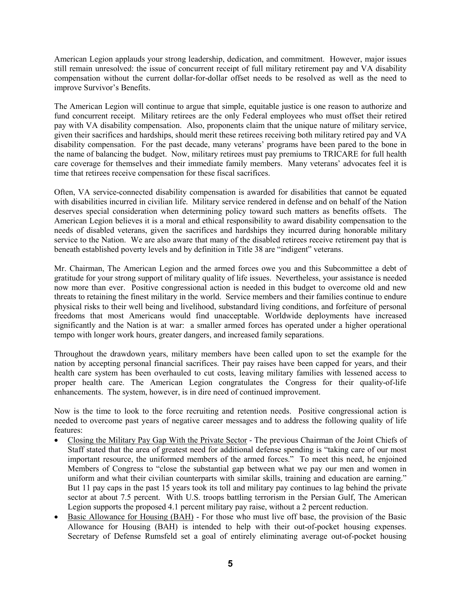American Legion applauds your strong leadership, dedication, and commitment. However, major issues still remain unresolved: the issue of concurrent receipt of full military retirement pay and VA disability compensation without the current dollar-for-dollar offset needs to be resolved as well as the need to improve Survivor's Benefits.

The American Legion will continue to argue that simple, equitable justice is one reason to authorize and fund concurrent receipt. Military retirees are the only Federal employees who must offset their retired pay with VA disability compensation. Also, proponents claim that the unique nature of military service, given their sacrifices and hardships, should merit these retirees receiving both military retired pay and VA disability compensation. For the past decade, many veterans' programs have been pared to the bone in the name of balancing the budget. Now, military retirees must pay premiums to TRICARE for full health care coverage for themselves and their immediate family members. Many veterans' advocates feel it is time that retirees receive compensation for these fiscal sacrifices.

Often, VA service-connected disability compensation is awarded for disabilities that cannot be equated with disabilities incurred in civilian life. Military service rendered in defense and on behalf of the Nation deserves special consideration when determining policy toward such matters as benefits offsets. The American Legion believes it is a moral and ethical responsibility to award disability compensation to the needs of disabled veterans, given the sacrifices and hardships they incurred during honorable military service to the Nation. We are also aware that many of the disabled retirees receive retirement pay that is beneath established poverty levels and by definition in Title 38 are "indigent" veterans.

Mr. Chairman, The American Legion and the armed forces owe you and this Subcommittee a debt of gratitude for your strong support of military quality of life issues. Nevertheless, your assistance is needed now more than ever. Positive congressional action is needed in this budget to overcome old and new threats to retaining the finest military in the world. Service members and their families continue to endure physical risks to their well being and livelihood, substandard living conditions, and forfeiture of personal freedoms that most Americans would find unacceptable. Worldwide deployments have increased significantly and the Nation is at war: a smaller armed forces has operated under a higher operational tempo with longer work hours, greater dangers, and increased family separations.

Throughout the drawdown years, military members have been called upon to set the example for the nation by accepting personal financial sacrifices. Their pay raises have been capped for years, and their health care system has been overhauled to cut costs, leaving military families with lessened access to proper health care. The American Legion congratulates the Congress for their quality-of-life enhancements. The system, however, is in dire need of continued improvement.

Now is the time to look to the force recruiting and retention needs. Positive congressional action is needed to overcome past years of negative career messages and to address the following quality of life features:

- Closing the Military Pay Gap With the Private Sector The previous Chairman of the Joint Chiefs of Staff stated that the area of greatest need for additional defense spending is "taking care of our most important resource, the uniformed members of the armed forces." To meet this need, he enjoined Members of Congress to "close the substantial gap between what we pay our men and women in uniform and what their civilian counterparts with similar skills, training and education are earning." But 11 pay caps in the past 15 years took its toll and military pay continues to lag behind the private sector at about 7.5 percent. With U.S. troops battling terrorism in the Persian Gulf, The American Legion supports the proposed 4.1 percent military pay raise, without a 2 percent reduction.
- Basic Allowance for Housing (BAH) For those who must live off base, the provision of the Basic Allowance for Housing (BAH) is intended to help with their out-of-pocket housing expenses. Secretary of Defense Rumsfeld set a goal of entirely eliminating average out-of-pocket housing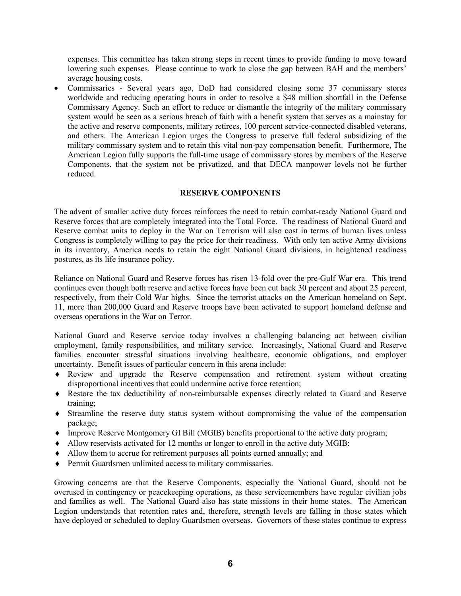expenses. This committee has taken strong steps in recent times to provide funding to move toward lowering such expenses. Please continue to work to close the gap between BAH and the members' average housing costs.

• Commissaries - Several years ago, DoD had considered closing some 37 commissary stores worldwide and reducing operating hours in order to resolve a \$48 million shortfall in the Defense Commissary Agency. Such an effort to reduce or dismantle the integrity of the military commissary system would be seen as a serious breach of faith with a benefit system that serves as a mainstay for the active and reserve components, military retirees, 100 percent service-connected disabled veterans, and others. The American Legion urges the Congress to preserve full federal subsidizing of the military commissary system and to retain this vital non-pay compensation benefit. Furthermore, The American Legion fully supports the full-time usage of commissary stores by members of the Reserve Components, that the system not be privatized, and that DECA manpower levels not be further reduced.

#### **RESERVE COMPONENTS**

The advent of smaller active duty forces reinforces the need to retain combat-ready National Guard and Reserve forces that are completely integrated into the Total Force. The readiness of National Guard and Reserve combat units to deploy in the War on Terrorism will also cost in terms of human lives unless Congress is completely willing to pay the price for their readiness. With only ten active Army divisions in its inventory, America needs to retain the eight National Guard divisions, in heightened readiness postures, as its life insurance policy.

Reliance on National Guard and Reserve forces has risen 13-fold over the pre-Gulf War era. This trend continues even though both reserve and active forces have been cut back 30 percent and about 25 percent, respectively, from their Cold War highs. Since the terrorist attacks on the American homeland on Sept. 11, more than 200,000 Guard and Reserve troops have been activated to support homeland defense and overseas operations in the War on Terror.

National Guard and Reserve service today involves a challenging balancing act between civilian employment, family responsibilities, and military service. Increasingly, National Guard and Reserve families encounter stressful situations involving healthcare, economic obligations, and employer uncertainty. Benefit issues of particular concern in this arena include:

- ♦ Review and upgrade the Reserve compensation and retirement system without creating disproportional incentives that could undermine active force retention;
- ♦ Restore the tax deductibility of non-reimbursable expenses directly related to Guard and Reserve training;
- ♦ Streamline the reserve duty status system without compromising the value of the compensation package;
- ♦ Improve Reserve Montgomery GI Bill (MGIB) benefits proportional to the active duty program;
- ♦ Allow reservists activated for 12 months or longer to enroll in the active duty MGIB:
- ♦ Allow them to accrue for retirement purposes all points earned annually; and
- ♦ Permit Guardsmen unlimited access to military commissaries.

Growing concerns are that the Reserve Components, especially the National Guard, should not be overused in contingency or peacekeeping operations, as these servicemembers have regular civilian jobs and families as well. The National Guard also has state missions in their home states. The American Legion understands that retention rates and, therefore, strength levels are falling in those states which have deployed or scheduled to deploy Guardsmen overseas. Governors of these states continue to express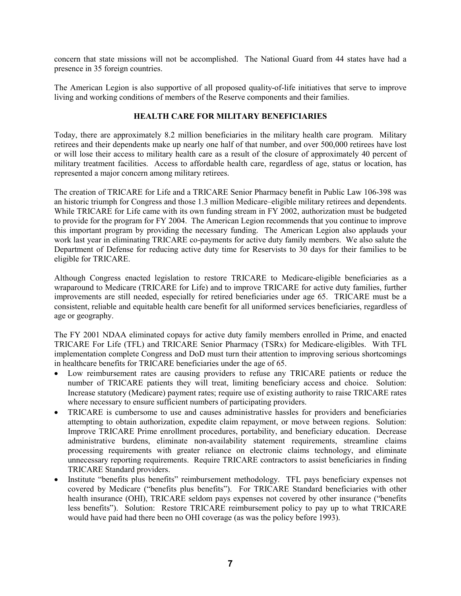concern that state missions will not be accomplished. The National Guard from 44 states have had a presence in 35 foreign countries.

The American Legion is also supportive of all proposed quality-of-life initiatives that serve to improve living and working conditions of members of the Reserve components and their families.

## **HEALTH CARE FOR MILITARY BENEFICIARIES**

Today, there are approximately 8.2 million beneficiaries in the military health care program. Military retirees and their dependents make up nearly one half of that number, and over 500,000 retirees have lost or will lose their access to military health care as a result of the closure of approximately 40 percent of military treatment facilities. Access to affordable health care, regardless of age, status or location, has represented a major concern among military retirees.

The creation of TRICARE for Life and a TRICARE Senior Pharmacy benefit in Public Law 106-398 was an historic triumph for Congress and those 1.3 million Medicare–eligible military retirees and dependents. While TRICARE for Life came with its own funding stream in FY 2002, authorization must be budgeted to provide for the program for FY 2004. The American Legion recommends that you continue to improve this important program by providing the necessary funding. The American Legion also applauds your work last year in eliminating TRICARE co-payments for active duty family members. We also salute the Department of Defense for reducing active duty time for Reservists to 30 days for their families to be eligible for TRICARE.

Although Congress enacted legislation to restore TRICARE to Medicare-eligible beneficiaries as a wraparound to Medicare (TRICARE for Life) and to improve TRICARE for active duty families, further improvements are still needed, especially for retired beneficiaries under age 65. TRICARE must be a consistent, reliable and equitable health care benefit for all uniformed services beneficiaries, regardless of age or geography.

The FY 2001 NDAA eliminated copays for active duty family members enrolled in Prime, and enacted TRICARE For Life (TFL) and TRICARE Senior Pharmacy (TSRx) for Medicare-eligibles. With TFL implementation complete Congress and DoD must turn their attention to improving serious shortcomings in healthcare benefits for TRICARE beneficiaries under the age of 65.

- Low reimbursement rates are causing providers to refuse any TRICARE patients or reduce the number of TRICARE patients they will treat, limiting beneficiary access and choice. Solution: Increase statutory (Medicare) payment rates; require use of existing authority to raise TRICARE rates where necessary to ensure sufficient numbers of participating providers.
- TRICARE is cumbersome to use and causes administrative hassles for providers and beneficiaries attempting to obtain authorization, expedite claim repayment, or move between regions. Solution: Improve TRICARE Prime enrollment procedures, portability, and beneficiary education. Decrease administrative burdens, eliminate non-availability statement requirements, streamline claims processing requirements with greater reliance on electronic claims technology, and eliminate unnecessary reporting requirements. Require TRICARE contractors to assist beneficiaries in finding TRICARE Standard providers.
- Institute "benefits plus benefits" reimbursement methodology. TFL pays beneficiary expenses not covered by Medicare ("benefits plus benefits"). For TRICARE Standard beneficiaries with other health insurance (OHI), TRICARE seldom pays expenses not covered by other insurance ("benefits less benefits"). Solution: Restore TRICARE reimbursement policy to pay up to what TRICARE would have paid had there been no OHI coverage (as was the policy before 1993).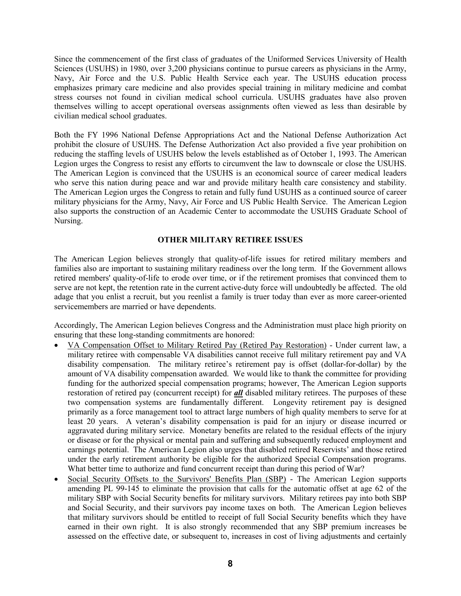Since the commencement of the first class of graduates of the Uniformed Services University of Health Sciences (USUHS) in 1980, over 3,200 physicians continue to pursue careers as physicians in the Army, Navy, Air Force and the U.S. Public Health Service each year. The USUHS education process emphasizes primary care medicine and also provides special training in military medicine and combat stress courses not found in civilian medical school curricula. USUHS graduates have also proven themselves willing to accept operational overseas assignments often viewed as less than desirable by civilian medical school graduates.

Both the FY 1996 National Defense Appropriations Act and the National Defense Authorization Act prohibit the closure of USUHS. The Defense Authorization Act also provided a five year prohibition on reducing the staffing levels of USUHS below the levels established as of October 1, 1993. The American Legion urges the Congress to resist any efforts to circumvent the law to downscale or close the USUHS. The American Legion is convinced that the USUHS is an economical source of career medical leaders who serve this nation during peace and war and provide military health care consistency and stability. The American Legion urges the Congress to retain and fully fund USUHS as a continued source of career military physicians for the Army, Navy, Air Force and US Public Health Service. The American Legion also supports the construction of an Academic Center to accommodate the USUHS Graduate School of Nursing.

### **OTHER MILITARY RETIREE ISSUES**

The American Legion believes strongly that quality-of-life issues for retired military members and families also are important to sustaining military readiness over the long term. If the Government allows retired members' quality-of-life to erode over time, or if the retirement promises that convinced them to serve are not kept, the retention rate in the current active-duty force will undoubtedly be affected. The old adage that you enlist a recruit, but you reenlist a family is truer today than ever as more career-oriented servicemembers are married or have dependents.

Accordingly, The American Legion believes Congress and the Administration must place high priority on ensuring that these long-standing commitments are honored:

- VA Compensation Offset to Military Retired Pay (Retired Pay Restoration) Under current law, a military retiree with compensable VA disabilities cannot receive full military retirement pay and VA disability compensation. The military retiree's retirement pay is offset (dollar-for-dollar) by the amount of VA disability compensation awarded. We would like to thank the committee for providing funding for the authorized special compensation programs; however, The American Legion supports restoration of retired pay (concurrent receipt) for *all* disabled military retirees. The purposes of these two compensation systems are fundamentally different. Longevity retirement pay is designed primarily as a force management tool to attract large numbers of high quality members to serve for at least 20 years. A veteran's disability compensation is paid for an injury or disease incurred or aggravated during military service. Monetary benefits are related to the residual effects of the injury or disease or for the physical or mental pain and suffering and subsequently reduced employment and earnings potential. The American Legion also urges that disabled retired Reservists' and those retired under the early retirement authority be eligible for the authorized Special Compensation programs. What better time to authorize and fund concurrent receipt than during this period of War?
- Social Security Offsets to the Survivors' Benefits Plan (SBP) The American Legion supports amending PL 99-145 to eliminate the provision that calls for the automatic offset at age 62 of the military SBP with Social Security benefits for military survivors. Military retirees pay into both SBP and Social Security, and their survivors pay income taxes on both. The American Legion believes that military survivors should be entitled to receipt of full Social Security benefits which they have earned in their own right. It is also strongly recommended that any SBP premium increases be assessed on the effective date, or subsequent to, increases in cost of living adjustments and certainly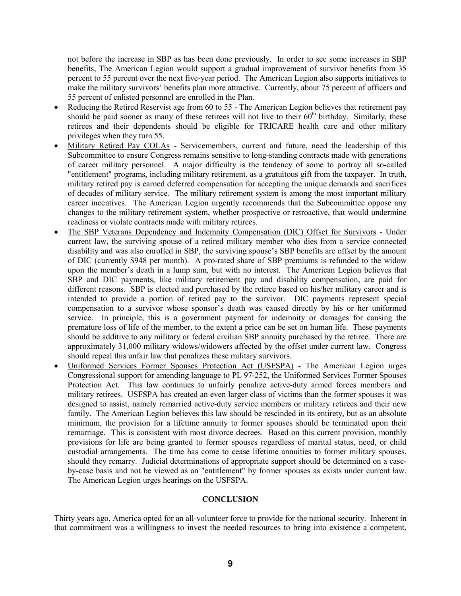not before the increase in SBP as has been done previously. In order to see some increases in SBP benefits, The American Legion would support a gradual improvement of survivor benefits from 35 percent to 55 percent over the next five-year period. The American Legion also supports initiatives to make the military survivors' benefits plan more attractive. Currently, about 75 percent of officers and 55 percent of enlisted personnel are enrolled in the Plan.

- Reducing the Retired Reservist age from 60 to 55 The American Legion believes that retirement pay should be paid sooner as many of these retirees will not live to their 60<sup>th</sup> birthday. Similarly, these retirees and their dependents should be eligible for TRICARE health care and other military privileges when they turn 55.
- Military Retired Pay COLAs Servicemembers, current and future, need the leadership of this Subcommittee to ensure Congress remains sensitive to long-standing contracts made with generations of career military personnel. A major difficulty is the tendency of some to portray all so-called "entitlement" programs, including military retirement, as a gratuitous gift from the taxpayer. In truth, military retired pay is earned deferred compensation for accepting the unique demands and sacrifices of decades of military service. The military retirement system is among the most important military career incentives. The American Legion urgently recommends that the Subcommittee oppose any changes to the military retirement system, whether prospective or retroactive, that would undermine readiness or violate contracts made with military retirees.
- The SBP Veterans Dependency and Indemnity Compensation (DIC) Offset for Survivors Under current law, the surviving spouse of a retired military member who dies from a service connected disability and was also enrolled in SBP, the surviving spouse's SBP benefits are offset by the amount of DIC (currently \$948 per month). A pro-rated share of SBP premiums is refunded to the widow upon the member's death in a lump sum, but with no interest. The American Legion believes that SBP and DIC payments, like military retirement pay and disability compensation, are paid for different reasons. SBP is elected and purchased by the retiree based on his/her military career and is intended to provide a portion of retired pay to the survivor. DIC payments represent special compensation to a survivor whose sponsor's death was caused directly by his or her uniformed service. In principle, this is a government payment for indemnity or damages for causing the premature loss of life of the member, to the extent a price can be set on human life. These payments should be additive to any military or federal civilian SBP annuity purchased by the retiree. There are approximately 31,000 military widows/widowers affected by the offset under current law. Congress should repeal this unfair law that penalizes these military survivors.
- Uniformed Services Former Spouses Protection Act (USFSPA) The American Legion urges Congressional support for amending language to PL 97-252, the Uniformed Services Former Spouses Protection Act. This law continues to unfairly penalize active-duty armed forces members and military retirees. USFSPA has created an even larger class of victims than the former spouses it was designed to assist, namely remarried active-duty service members or military retirees and their new family. The American Legion believes this law should be rescinded in its entirety, but as an absolute minimum, the provision for a lifetime annuity to former spouses should be terminated upon their remarriage. This is consistent with most divorce decrees. Based on this current provision, monthly provisions for life are being granted to former spouses regardless of marital status, need, or child custodial arrangements. The time has come to cease lifetime annuities to former military spouses, should they remarry. Judicial determinations of appropriate support should be determined on a caseby-case basis and not be viewed as an "entitlement" by former spouses as exists under current law. The American Legion urges hearings on the USFSPA.

#### **CONCLUSION**

Thirty years ago, America opted for an all-volunteer force to provide for the national security. Inherent in that commitment was a willingness to invest the needed resources to bring into existence a competent,